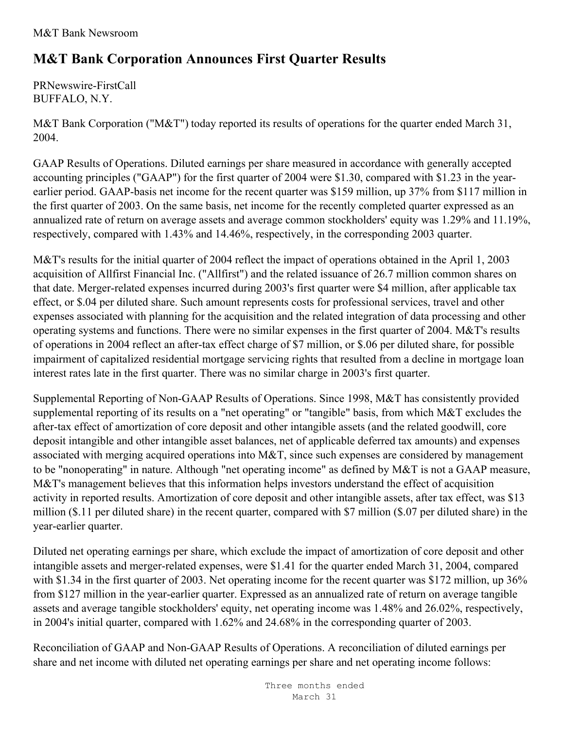## **M&T Bank Corporation Announces First Quarter Results**

PRNewswire-FirstCall BUFFALO, N.Y.

M&T Bank Corporation ("M&T") today reported its results of operations for the quarter ended March 31, 2004.

GAAP Results of Operations. Diluted earnings per share measured in accordance with generally accepted accounting principles ("GAAP") for the first quarter of 2004 were \$1.30, compared with \$1.23 in the yearearlier period. GAAP-basis net income for the recent quarter was \$159 million, up 37% from \$117 million in the first quarter of 2003. On the same basis, net income for the recently completed quarter expressed as an annualized rate of return on average assets and average common stockholders' equity was 1.29% and 11.19%, respectively, compared with 1.43% and 14.46%, respectively, in the corresponding 2003 quarter.

M&T's results for the initial quarter of 2004 reflect the impact of operations obtained in the April 1, 2003 acquisition of Allfirst Financial Inc. ("Allfirst") and the related issuance of 26.7 million common shares on that date. Merger-related expenses incurred during 2003's first quarter were \$4 million, after applicable tax effect, or \$.04 per diluted share. Such amount represents costs for professional services, travel and other expenses associated with planning for the acquisition and the related integration of data processing and other operating systems and functions. There were no similar expenses in the first quarter of 2004. M&T's results of operations in 2004 reflect an after-tax effect charge of \$7 million, or \$.06 per diluted share, for possible impairment of capitalized residential mortgage servicing rights that resulted from a decline in mortgage loan interest rates late in the first quarter. There was no similar charge in 2003's first quarter.

Supplemental Reporting of Non-GAAP Results of Operations. Since 1998, M&T has consistently provided supplemental reporting of its results on a "net operating" or "tangible" basis, from which M&T excludes the after-tax effect of amortization of core deposit and other intangible assets (and the related goodwill, core deposit intangible and other intangible asset balances, net of applicable deferred tax amounts) and expenses associated with merging acquired operations into M&T, since such expenses are considered by management to be "nonoperating" in nature. Although "net operating income" as defined by M&T is not a GAAP measure, M&T's management believes that this information helps investors understand the effect of acquisition activity in reported results. Amortization of core deposit and other intangible assets, after tax effect, was \$13 million (\$.11 per diluted share) in the recent quarter, compared with \$7 million (\$.07 per diluted share) in the year-earlier quarter.

Diluted net operating earnings per share, which exclude the impact of amortization of core deposit and other intangible assets and merger-related expenses, were \$1.41 for the quarter ended March 31, 2004, compared with \$1.34 in the first quarter of 2003. Net operating income for the recent quarter was \$172 million, up 36% from \$127 million in the year-earlier quarter. Expressed as an annualized rate of return on average tangible assets and average tangible stockholders' equity, net operating income was 1.48% and 26.02%, respectively, in 2004's initial quarter, compared with 1.62% and 24.68% in the corresponding quarter of 2003.

Reconciliation of GAAP and Non-GAAP Results of Operations. A reconciliation of diluted earnings per share and net income with diluted net operating earnings per share and net operating income follows: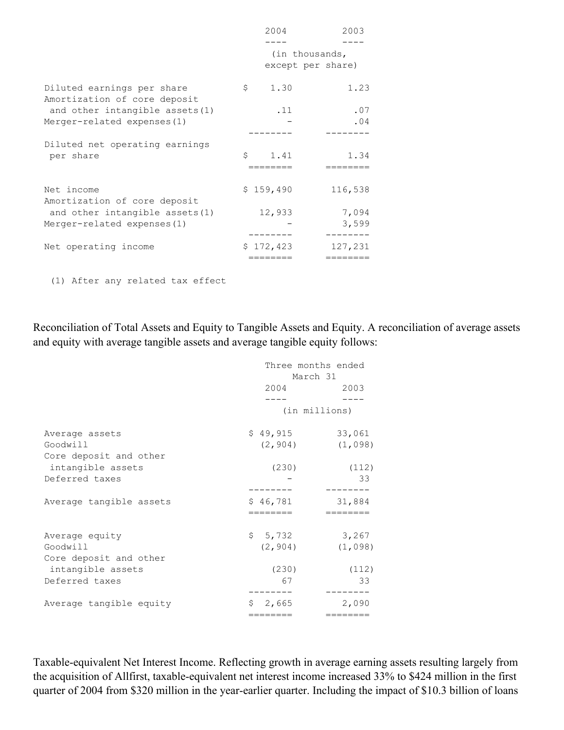|                                                            | 2004              | 2003    |
|------------------------------------------------------------|-------------------|---------|
|                                                            |                   |         |
|                                                            | (in thousands,    |         |
|                                                            | except per share) |         |
| Diluted earnings per share<br>Amortization of core deposit | 1.30<br>\$        | 1.23    |
| and other intangible assets (1)                            | .11               | .07     |
| Merger-related expenses (1)                                |                   | .04     |
|                                                            |                   |         |
| Diluted net operating earnings<br>per share                | Ŝ<br>1.41         | 1.34    |
|                                                            | ________          |         |
| Net income<br>Amortization of core deposit                 | \$159,490         | 116,538 |
| and other intangible assets (1)                            | 12,933            | 7,094   |
| Merger-related expenses $(1)$                              |                   | 3,599   |
|                                                            |                   |         |
| Net operating income                                       | \$172,423         | 127,231 |
|                                                            |                   |         |

(1) After any related tax effect

Reconciliation of Total Assets and Equity to Tangible Assets and Equity. A reconciliation of average assets and equity with average tangible assets and average tangible equity follows:

|                         | Three months ended<br>March 31 |               |  |  |  |
|-------------------------|--------------------------------|---------------|--|--|--|
|                         | 2004                           | 2003          |  |  |  |
|                         |                                |               |  |  |  |
|                         |                                | (in millions) |  |  |  |
| Average assets          | \$49,915                       | 33,061        |  |  |  |
| Goodwill                | (2, 904)                       | (1,098)       |  |  |  |
| Core deposit and other  |                                |               |  |  |  |
| intangible assets       | (230)                          | (112)         |  |  |  |
| Deferred taxes          |                                | 33            |  |  |  |
|                         |                                |               |  |  |  |
| Average tangible assets | \$46,781                       | 31,884        |  |  |  |
|                         | ========                       | ========      |  |  |  |
| Average equity          | \$5,732                        | 3,267         |  |  |  |
| Goodwill                | (2, 904)                       | (1,098)       |  |  |  |
| Core deposit and other  |                                |               |  |  |  |
| intangible assets       | (230)                          | (112)         |  |  |  |
| Deferred taxes          | 67                             | 33            |  |  |  |
|                         |                                |               |  |  |  |
| Average tangible equity | 2,665<br>S                     | 2,090         |  |  |  |
|                         | ========                       | ========      |  |  |  |

Taxable-equivalent Net Interest Income. Reflecting growth in average earning assets resulting largely from the acquisition of Allfirst, taxable-equivalent net interest income increased 33% to \$424 million in the first quarter of 2004 from \$320 million in the year-earlier quarter. Including the impact of \$10.3 billion of loans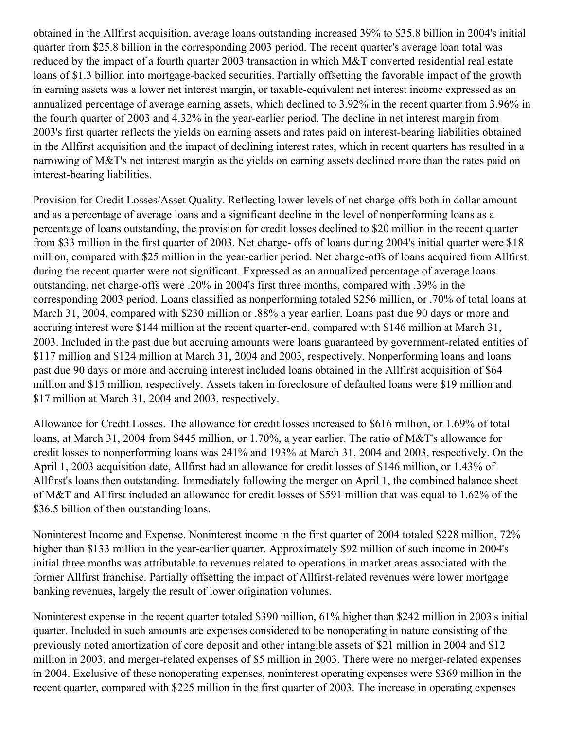obtained in the Allfirst acquisition, average loans outstanding increased 39% to \$35.8 billion in 2004's initial quarter from \$25.8 billion in the corresponding 2003 period. The recent quarter's average loan total was reduced by the impact of a fourth quarter 2003 transaction in which M&T converted residential real estate loans of \$1.3 billion into mortgage-backed securities. Partially offsetting the favorable impact of the growth in earning assets was a lower net interest margin, or taxable-equivalent net interest income expressed as an annualized percentage of average earning assets, which declined to 3.92% in the recent quarter from 3.96% in the fourth quarter of 2003 and 4.32% in the year-earlier period. The decline in net interest margin from 2003's first quarter reflects the yields on earning assets and rates paid on interest-bearing liabilities obtained in the Allfirst acquisition and the impact of declining interest rates, which in recent quarters has resulted in a narrowing of M&T's net interest margin as the yields on earning assets declined more than the rates paid on interest-bearing liabilities.

Provision for Credit Losses/Asset Quality. Reflecting lower levels of net charge-offs both in dollar amount and as a percentage of average loans and a significant decline in the level of nonperforming loans as a percentage of loans outstanding, the provision for credit losses declined to \$20 million in the recent quarter from \$33 million in the first quarter of 2003. Net charge- offs of loans during 2004's initial quarter were \$18 million, compared with \$25 million in the year-earlier period. Net charge-offs of loans acquired from Allfirst during the recent quarter were not significant. Expressed as an annualized percentage of average loans outstanding, net charge-offs were .20% in 2004's first three months, compared with .39% in the corresponding 2003 period. Loans classified as nonperforming totaled \$256 million, or .70% of total loans at March 31, 2004, compared with \$230 million or .88% a year earlier. Loans past due 90 days or more and accruing interest were \$144 million at the recent quarter-end, compared with \$146 million at March 31, 2003. Included in the past due but accruing amounts were loans guaranteed by government-related entities of \$117 million and \$124 million at March 31, 2004 and 2003, respectively. Nonperforming loans and loans past due 90 days or more and accruing interest included loans obtained in the Allfirst acquisition of \$64 million and \$15 million, respectively. Assets taken in foreclosure of defaulted loans were \$19 million and \$17 million at March 31, 2004 and 2003, respectively.

Allowance for Credit Losses. The allowance for credit losses increased to \$616 million, or 1.69% of total loans, at March 31, 2004 from \$445 million, or 1.70%, a year earlier. The ratio of M&T's allowance for credit losses to nonperforming loans was 241% and 193% at March 31, 2004 and 2003, respectively. On the April 1, 2003 acquisition date, Allfirst had an allowance for credit losses of \$146 million, or 1.43% of Allfirst's loans then outstanding. Immediately following the merger on April 1, the combined balance sheet of M&T and Allfirst included an allowance for credit losses of \$591 million that was equal to 1.62% of the \$36.5 billion of then outstanding loans.

Noninterest Income and Expense. Noninterest income in the first quarter of 2004 totaled \$228 million, 72% higher than \$133 million in the year-earlier quarter. Approximately \$92 million of such income in 2004's initial three months was attributable to revenues related to operations in market areas associated with the former Allfirst franchise. Partially offsetting the impact of Allfirst-related revenues were lower mortgage banking revenues, largely the result of lower origination volumes.

Noninterest expense in the recent quarter totaled \$390 million, 61% higher than \$242 million in 2003's initial quarter. Included in such amounts are expenses considered to be nonoperating in nature consisting of the previously noted amortization of core deposit and other intangible assets of \$21 million in 2004 and \$12 million in 2003, and merger-related expenses of \$5 million in 2003. There were no merger-related expenses in 2004. Exclusive of these nonoperating expenses, noninterest operating expenses were \$369 million in the recent quarter, compared with \$225 million in the first quarter of 2003. The increase in operating expenses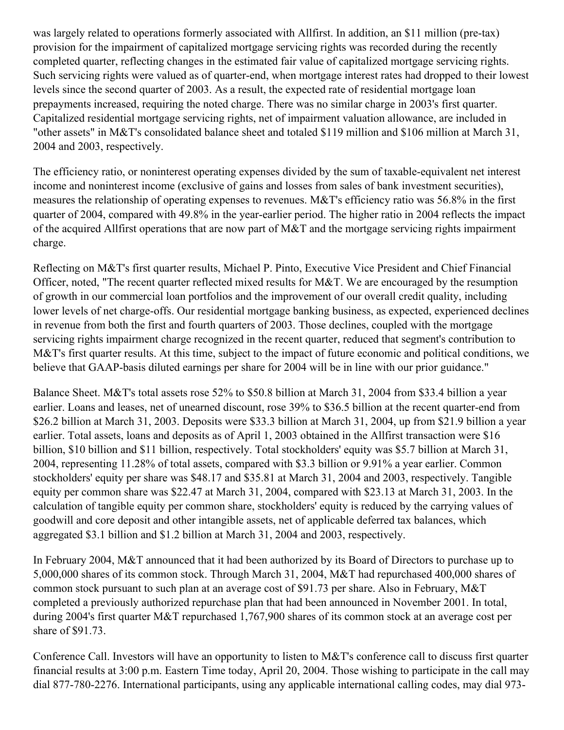was largely related to operations formerly associated with Allfirst. In addition, an \$11 million (pre-tax) provision for the impairment of capitalized mortgage servicing rights was recorded during the recently completed quarter, reflecting changes in the estimated fair value of capitalized mortgage servicing rights. Such servicing rights were valued as of quarter-end, when mortgage interest rates had dropped to their lowest levels since the second quarter of 2003. As a result, the expected rate of residential mortgage loan prepayments increased, requiring the noted charge. There was no similar charge in 2003's first quarter. Capitalized residential mortgage servicing rights, net of impairment valuation allowance, are included in "other assets" in M&T's consolidated balance sheet and totaled \$119 million and \$106 million at March 31, 2004 and 2003, respectively.

The efficiency ratio, or noninterest operating expenses divided by the sum of taxable-equivalent net interest income and noninterest income (exclusive of gains and losses from sales of bank investment securities), measures the relationship of operating expenses to revenues. M&T's efficiency ratio was 56.8% in the first quarter of 2004, compared with 49.8% in the year-earlier period. The higher ratio in 2004 reflects the impact of the acquired Allfirst operations that are now part of M&T and the mortgage servicing rights impairment charge.

Reflecting on M&T's first quarter results, Michael P. Pinto, Executive Vice President and Chief Financial Officer, noted, "The recent quarter reflected mixed results for M&T. We are encouraged by the resumption of growth in our commercial loan portfolios and the improvement of our overall credit quality, including lower levels of net charge-offs. Our residential mortgage banking business, as expected, experienced declines in revenue from both the first and fourth quarters of 2003. Those declines, coupled with the mortgage servicing rights impairment charge recognized in the recent quarter, reduced that segment's contribution to M&T's first quarter results. At this time, subject to the impact of future economic and political conditions, we believe that GAAP-basis diluted earnings per share for 2004 will be in line with our prior guidance."

Balance Sheet. M&T's total assets rose 52% to \$50.8 billion at March 31, 2004 from \$33.4 billion a year earlier. Loans and leases, net of unearned discount, rose 39% to \$36.5 billion at the recent quarter-end from \$26.2 billion at March 31, 2003. Deposits were \$33.3 billion at March 31, 2004, up from \$21.9 billion a year earlier. Total assets, loans and deposits as of April 1, 2003 obtained in the Allfirst transaction were \$16 billion, \$10 billion and \$11 billion, respectively. Total stockholders' equity was \$5.7 billion at March 31, 2004, representing 11.28% of total assets, compared with \$3.3 billion or 9.91% a year earlier. Common stockholders' equity per share was \$48.17 and \$35.81 at March 31, 2004 and 2003, respectively. Tangible equity per common share was \$22.47 at March 31, 2004, compared with \$23.13 at March 31, 2003. In the calculation of tangible equity per common share, stockholders' equity is reduced by the carrying values of goodwill and core deposit and other intangible assets, net of applicable deferred tax balances, which aggregated \$3.1 billion and \$1.2 billion at March 31, 2004 and 2003, respectively.

In February 2004, M&T announced that it had been authorized by its Board of Directors to purchase up to 5,000,000 shares of its common stock. Through March 31, 2004, M&T had repurchased 400,000 shares of common stock pursuant to such plan at an average cost of \$91.73 per share. Also in February, M&T completed a previously authorized repurchase plan that had been announced in November 2001. In total, during 2004's first quarter M&T repurchased 1,767,900 shares of its common stock at an average cost per share of \$91.73.

Conference Call. Investors will have an opportunity to listen to M&T's conference call to discuss first quarter financial results at 3:00 p.m. Eastern Time today, April 20, 2004. Those wishing to participate in the call may dial 877-780-2276. International participants, using any applicable international calling codes, may dial 973-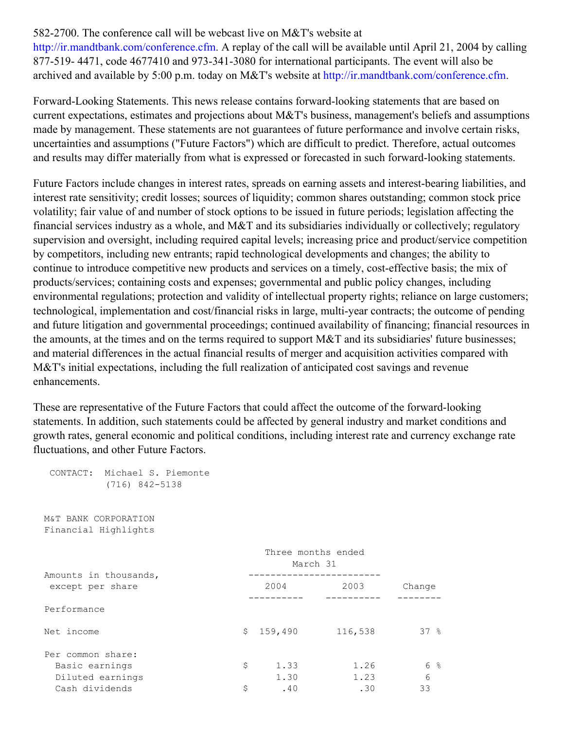## 582-2700. The conference call will be webcast live on M&T's website at

<http://ir.mandtbank.com/conference.cfm>. A replay of the call will be available until April 21, 2004 by calling 877-519- 4471, code 4677410 and 973-341-3080 for international participants. The event will also be archived and available by 5:00 p.m. today on M&T's website at <http://ir.mandtbank.com/conference.cfm>.

Forward-Looking Statements. This news release contains forward-looking statements that are based on current expectations, estimates and projections about M&T's business, management's beliefs and assumptions made by management. These statements are not guarantees of future performance and involve certain risks, uncertainties and assumptions ("Future Factors") which are difficult to predict. Therefore, actual outcomes and results may differ materially from what is expressed or forecasted in such forward-looking statements.

Future Factors include changes in interest rates, spreads on earning assets and interest-bearing liabilities, and interest rate sensitivity; credit losses; sources of liquidity; common shares outstanding; common stock price volatility; fair value of and number of stock options to be issued in future periods; legislation affecting the financial services industry as a whole, and M&T and its subsidiaries individually or collectively; regulatory supervision and oversight, including required capital levels; increasing price and product/service competition by competitors, including new entrants; rapid technological developments and changes; the ability to continue to introduce competitive new products and services on a timely, cost-effective basis; the mix of products/services; containing costs and expenses; governmental and public policy changes, including environmental regulations; protection and validity of intellectual property rights; reliance on large customers; technological, implementation and cost/financial risks in large, multi-year contracts; the outcome of pending and future litigation and governmental proceedings; continued availability of financing; financial resources in the amounts, at the times and on the terms required to support M&T and its subsidiaries' future businesses; and material differences in the actual financial results of merger and acquisition activities compared with M&T's initial expectations, including the full realization of anticipated cost savings and revenue enhancements.

These are representative of the Future Factors that could affect the outcome of the forward-looking statements. In addition, such statements could be affected by general industry and market conditions and growth rates, general economic and political conditions, including interest rate and currency exchange rate fluctuations, and other Future Factors.

| CONTACT: Michael S. Piemonte<br>$(716)$ 842-5138 |                                |         |        |
|--------------------------------------------------|--------------------------------|---------|--------|
| M&T BANK CORPORATION<br>Financial Highlights     |                                |         |        |
|                                                  | Three months ended<br>March 31 |         |        |
| Amounts in thousands,<br>except per share        | 2004                           | 2003    | Change |
| Performance                                      |                                |         |        |
| Net income                                       | \$<br>159,490                  | 116,538 | 37%    |
| Per common share:                                |                                |         |        |
| Basic earnings                                   | \$<br>1.33                     | 1.26    | 6 %    |
| Diluted earnings                                 | 1.30                           | 1.23    | 6      |
| Cash dividends                                   | \$<br>.40                      | .30     | 33     |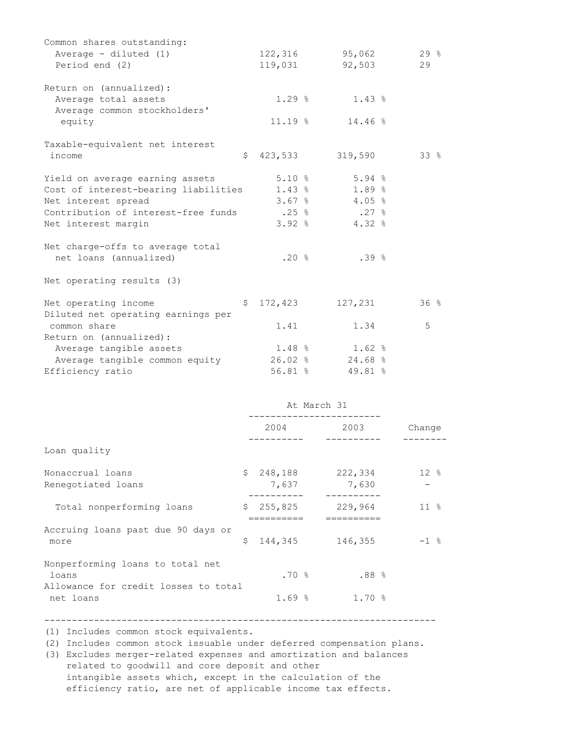| Common shares outstanding:                         |     |                    |             |                                                           |          |
|----------------------------------------------------|-----|--------------------|-------------|-----------------------------------------------------------|----------|
| Average - diluted (1)                              |     |                    |             | 122,316 95,062                                            | 29%      |
| Period end (2)                                     |     |                    |             | 119,031 92,503                                            | 29       |
| Return on (annualized):                            |     |                    |             |                                                           |          |
| Average total assets                               |     |                    |             | $1.29$ % $1.43$ %                                         |          |
| Average common stockholders'                       |     |                    |             |                                                           |          |
| equity                                             |     |                    |             | $11.19$ % $14.46$ %                                       |          |
|                                                    |     |                    |             |                                                           |          |
| Taxable-equivalent net interest                    |     |                    |             |                                                           | 33%      |
| income                                             |     | $$423,533$ 319,590 |             |                                                           |          |
| Yield on average earning assets                    |     | 5.10%              |             | $5.94$ %                                                  |          |
| Cost of interest-bearing liabilities 1.43 % 1.89 % |     |                    |             |                                                           |          |
| Net interest spread                                |     |                    |             | $3.67$ % 4.05 %                                           |          |
| Contribution of interest-free funds                |     |                    |             | $.25 \text{ }$ $\frac{6}{5}$ $.27 \text{ }$ $\frac{6}{5}$ |          |
|                                                    |     |                    |             | $3.92$ % 4.32 %                                           |          |
| Net interest margin                                |     |                    |             |                                                           |          |
| Net charge-offs to average total                   |     |                    |             |                                                           |          |
| net loans (annualized)                             |     | .20%               |             | .39%                                                      |          |
|                                                    |     |                    |             |                                                           |          |
| Net operating results (3)                          |     |                    |             |                                                           |          |
| Net operating income                               | \$. | 172,423            |             | 127,231                                                   | 36%      |
| Diluted net operating earnings per                 |     |                    |             |                                                           |          |
| common share                                       |     | 1.41               |             | 1.34                                                      | 5        |
| Return on (annualized):                            |     |                    |             |                                                           |          |
| Average tangible assets                            |     | $1.48$ %           |             | $1.62$ %                                                  |          |
| Average tangible common equity                     |     |                    |             |                                                           |          |
| Efficiency ratio                                   |     |                    |             | $26.02$ % $24.68$ %                                       |          |
|                                                    |     | $56.81$ %          |             | 49.81 %                                                   |          |
|                                                    |     |                    | At March 31 |                                                           |          |
|                                                    |     |                    |             | 2004 2003                                                 | Change   |
|                                                    |     |                    |             |                                                           |          |
| Loan quality                                       |     |                    |             |                                                           |          |
| Nonaccrual loans                                   | S.  | 248,188            |             | 222,334                                                   | $12*$    |
| Renegotiated loans                                 |     | 7,637              |             | 7,630                                                     |          |
|                                                    |     |                    |             | -----------                                               |          |
| Total nonperforming loans                          | Ş.  | 255,825            |             | 229,964                                                   | $11 - 8$ |
| Accruing loans past due 90 days or                 |     | ==========         |             | ==========                                                |          |
| more                                               | \$  | 144,345            |             | 146,355                                                   | $-1$ %   |
|                                                    |     |                    |             |                                                           |          |
| Nonperforming loans to total net                   |     |                    |             |                                                           |          |
| loans                                              |     | .70%               |             | .88%                                                      |          |
| Allowance for credit losses to total               |     |                    |             |                                                           |          |
| net loans                                          |     | $1.69$ %           |             | 1.70%                                                     |          |
|                                                    |     |                    |             |                                                           |          |

(1) Includes common stock equivalents.

(2) Includes common stock issuable under deferred compensation plans.

-----------------------------------------------------------------------

(3) Excludes merger-related expenses and amortization and balances related to goodwill and core deposit and other intangible assets which, except in the calculation of the efficiency ratio, are net of applicable income tax effects.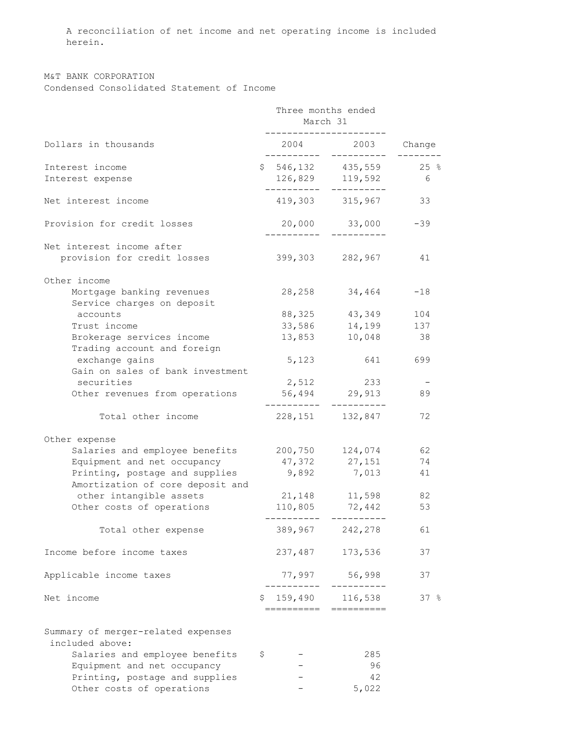A reconciliation of net income and net operating income is included herein.

M&T BANK CORPORATION Condensed Consolidated Statement of Income

|                                                         | Three months ended<br>March 31 |                                  |       |  |  |
|---------------------------------------------------------|--------------------------------|----------------------------------|-------|--|--|
| Dollars in thousands                                    |                                | 2004 2003 Change                 |       |  |  |
| Interest income                                         |                                | $$546,132$ 435,559 25 %          |       |  |  |
| Interest expense                                        | ---------                      | 126,829 119,592<br>-----------   | - 6   |  |  |
| Net interest income                                     |                                | 419,303 315,967                  | 33    |  |  |
| Provision for credit losses                             |                                | 20,000 33,000                    | $-39$ |  |  |
| Net interest income after                               |                                |                                  |       |  |  |
| provision for credit losses                             |                                | 399,303 282,967                  | 41    |  |  |
| Other income                                            |                                |                                  |       |  |  |
| Mortgage banking revenues<br>Service charges on deposit |                                | 28, 258 34, 464                  | $-18$ |  |  |
| accounts                                                |                                | 88, 325 43, 349                  | 104   |  |  |
| Trust income                                            | 33,586                         | 14,199                           | 137   |  |  |
| Brokerage services income                               | 13,853                         | 10,048                           | 38    |  |  |
| Trading account and foreign                             |                                |                                  |       |  |  |
| exchange gains                                          | 5,123                          | 641 64                           | 699   |  |  |
| Gain on sales of bank investment                        |                                |                                  |       |  |  |
| securities                                              | 2,512                          | 233                              |       |  |  |
| Other revenues from operations                          |                                | 56,494 29,913                    | 89    |  |  |
| Total other income                                      | . _ _ _ _ _ _ _ _              | -----------<br>228, 151 132, 847 | 72    |  |  |
| Other expense                                           |                                |                                  |       |  |  |
| Salaries and employee benefits 200,750 124,074          |                                |                                  | 62    |  |  |
| Equipment and net occupancy                             |                                | 47,372 27,151                    | 74    |  |  |
| Printing, postage and supplies                          |                                | 9,892 7,013                      | 41    |  |  |
| Amortization of core deposit and                        |                                |                                  |       |  |  |
| other intangible assets                                 |                                | 21, 148 11, 598                  | 82    |  |  |
| Other costs of operations                               |                                | 110,805 72,442                   | 53    |  |  |
| Total other expense                                     | 389,967                        | --------- ----------<br>242,278  | 61    |  |  |
|                                                         |                                |                                  |       |  |  |
| Income before income taxes                              | 237,487                        | 173,536                          | 37    |  |  |
| Applicable income taxes                                 | 77,997                         | 56,998                           | 37    |  |  |
| Net income                                              | \$<br>159,490                  | 116,538                          | 37%   |  |  |
|                                                         | =======                        | ==========                       |       |  |  |
| Summary of merger-related expenses                      |                                |                                  |       |  |  |
| included above:                                         |                                |                                  |       |  |  |
| Salaries and employee benefits                          | \$                             | 285                              |       |  |  |
| Equipment and net occupancy                             |                                | 96                               |       |  |  |
| Printing, postage and supplies                          |                                | 42                               |       |  |  |
| Other costs of operations                               |                                | 5,022                            |       |  |  |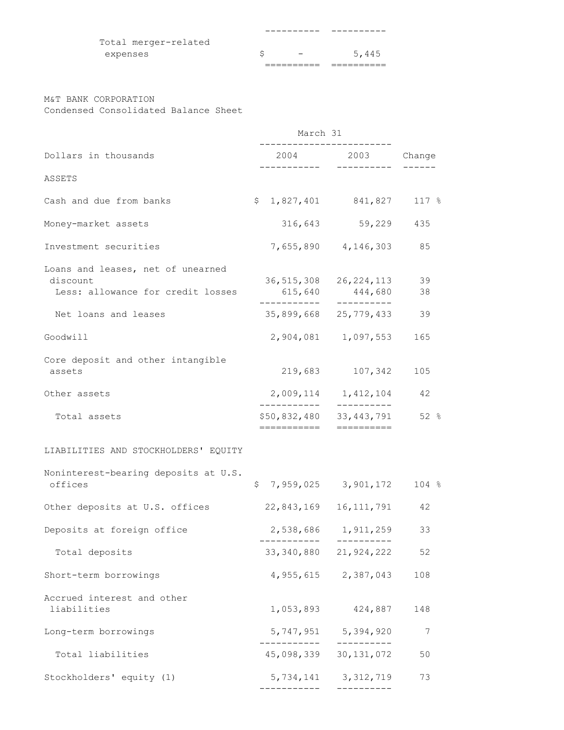| Total merger-related |  |  |       |
|----------------------|--|--|-------|
| expenses             |  |  | 5,445 |
|                      |  |  |       |

## M&T BANK CORPORATION

Condensed Consolidated Balance Sheet

|                                                                                    | March 31                               |                                      |          |  |
|------------------------------------------------------------------------------------|----------------------------------------|--------------------------------------|----------|--|
| Dollars in thousands                                                               |                                        | 2004 2003 Change                     |          |  |
| ASSETS                                                                             |                                        |                                      |          |  |
| Cash and due from banks                                                            | \$                                     | 1,827,401 841,827                    | 117 %    |  |
| Money-market assets                                                                |                                        | 316,643 59,229                       | 435      |  |
| Investment securities                                                              |                                        | 7,655,890 4,146,303                  | 85       |  |
| Loans and leases, net of unearned<br>discount<br>Less: allowance for credit losses | 615,640                                | 36, 515, 308 26, 224, 113<br>444,680 | 39<br>38 |  |
| Net loans and leases                                                               |                                        | 35,899,668 25,779,433                | 39       |  |
| Goodwill                                                                           |                                        | 2,904,081 1,097,553                  | 165      |  |
| Core deposit and other intangible<br>assets                                        | 219,683                                | 107,342                              | 105      |  |
| Other assets                                                                       | ___________                            | 2,009,114 1,412,104<br>-----------   | 42       |  |
| Total assets                                                                       | \$50,832,480 33,443,791<br>=========== |                                      | 52 %     |  |
| LIABILITIES AND STOCKHOLDERS' EQUITY                                               |                                        |                                      |          |  |
| Noninterest-bearing deposits at U.S.<br>offices                                    | \$                                     | 7,959,025 3,901,172                  | 104%     |  |
| Other deposits at U.S. offices                                                     |                                        | 22,843,169 16,111,791                | 42       |  |
| Deposits at foreign office                                                         |                                        | 2,538,686 1,911,259                  | 33       |  |
| Total deposits                                                                     |                                        | 33, 340, 880 21, 924, 222            | 52       |  |
| Short-term borrowings                                                              |                                        | 4,955,615 2,387,043                  | 108      |  |
| Accrued interest and other<br>liabilities                                          | 1,053,893                              | 424,887                              | 148      |  |
| Long-term borrowings                                                               |                                        | 5, 747, 951 5, 394, 920<br>--------- | 7        |  |
| Total liabilities                                                                  |                                        | 45,098,339 30,131,072                | 50       |  |
| Stockholders' equity (1)                                                           | 5,734,141                              | 3, 312, 719<br>__________            | 73       |  |
|                                                                                    |                                        |                                      |          |  |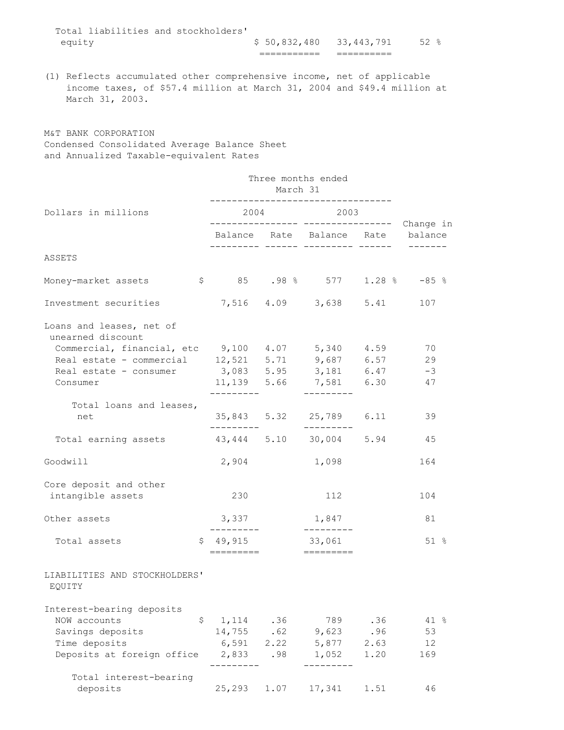| equity |  |                                     |  | \$50,832,480 33,443,791 | $52$ $\frac{6}{6}$ |  |
|--------|--|-------------------------------------|--|-------------------------|--------------------|--|
|        |  | Total liabilities and stockholders' |  |                         |                    |  |

(1) Reflects accumulated other comprehensive income, net of applicable income taxes, of \$57.4 million at March 31, 2004 and \$49.4 million at March 31, 2003.

M&T BANK CORPORATION Condensed Consolidated Average Balance Sheet and Annualized Taxable-equivalent Rates

|                                                                                                 |                                  | Three months ended<br>March 31 |                                   |                                           |          |  |  |
|-------------------------------------------------------------------------------------------------|----------------------------------|--------------------------------|-----------------------------------|-------------------------------------------|----------|--|--|
| Dollars in millions                                                                             |                                  |                                | 2004 2003                         | -------------- ---------------- Change in |          |  |  |
|                                                                                                 |                                  |                                | Balance Rate Balance Rate balance |                                           |          |  |  |
| ASSETS                                                                                          |                                  |                                |                                   |                                           |          |  |  |
| Money-market assets                                                                             | $$85$ $.98\%$ 577 $1.28\%$ -85 % |                                |                                   |                                           |          |  |  |
| Investment securities                                                                           |                                  |                                | 7,516 4.09 3,638 5.41 107         |                                           |          |  |  |
| Loans and leases, net of<br>unearned discount                                                   |                                  |                                |                                   |                                           |          |  |  |
| Commercial, financial, etc $9,100$ $4.07$ $5,340$ $4.59$                                        |                                  |                                |                                   |                                           | 70       |  |  |
| Real estate – commercial 12,521 5.71 9,687 6.57<br>Real estate – consumer 3,083 5.95 3,181 6.47 |                                  |                                |                                   |                                           | 29       |  |  |
|                                                                                                 |                                  |                                |                                   |                                           | $-3$     |  |  |
| Consumer                                                                                        |                                  |                                | 11,139 5.66 7,581 6.30            |                                           | 47       |  |  |
| Total loans and leases,                                                                         |                                  |                                |                                   |                                           |          |  |  |
| net                                                                                             |                                  |                                | 35,843 5.32 25,789 6.11           |                                           | 39       |  |  |
| Total earning assets 43,444 5.10 30,004 5.94                                                    |                                  |                                | ----------                        |                                           | 45       |  |  |
| Goodwill                                                                                        |                                  |                                | 2,904 1,098                       |                                           | 164      |  |  |
| Core deposit and other<br>intangible assets                                                     | 230                              |                                | 112                               |                                           | 104      |  |  |
| Other assets                                                                                    | 3,337<br>----------              |                                | 1,847<br>----------               |                                           | 81       |  |  |
| Total assets                                                                                    | \$49,915<br>=========            |                                | 33,061                            |                                           | 51%      |  |  |
| LIABILITIES AND STOCKHOLDERS'<br>EQUITY                                                         |                                  |                                |                                   |                                           |          |  |  |
| Interest-bearing deposits                                                                       |                                  |                                |                                   |                                           |          |  |  |
| NOW accounts<br>\$                                                                              | 1,114                            | .36                            | 789                               | .36                                       | 41 %     |  |  |
| Savings deposits<br>Time deposits                                                               | 14,755<br>6,591                  | .62<br>2.22                    | 9,623                             | .96<br>2.63                               | 53<br>12 |  |  |
| Deposits at foreign office                                                                      |                                  |                                | 5,877                             | 1.20                                      |          |  |  |
|                                                                                                 | 2,833                            | .98                            | 1,052                             |                                           | 169      |  |  |
| Total interest-bearing<br>deposits                                                              | 25,293                           | 1.07                           | 17,341                            | 1.51                                      | 46       |  |  |